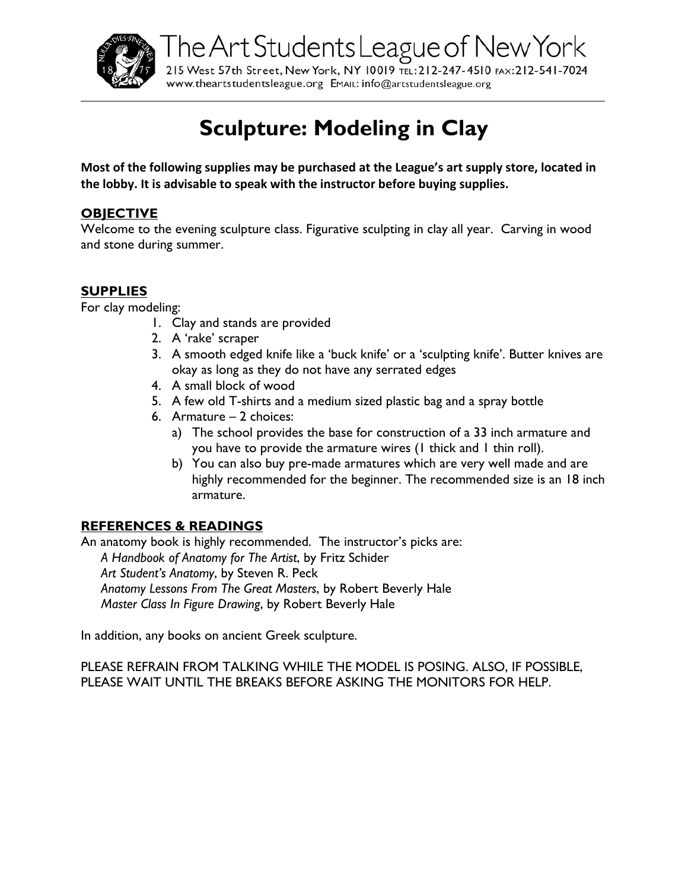

The Art Students League of New York 215 West 57th Street, New York, NY 10019 TEL: 212-247-4510 FAX: 212-541-7024

# www.theartstudentsleague.org EMAIL: info@artstudentsleague.org

# **Sculpture: Modeling in Clay**

**Most of the following supplies may be purchased at the League's art supply store, located in the lobby. It is advisable to speak with the instructor before buying supplies.**

# **OBJECTIVE**

Welcome to the evening sculpture class. Figurative sculpting in clay all year. Carving in wood and stone during summer.

### **SUPPLIES**

For clay modeling:

- 1. Clay and stands are provided
- 2. A 'rake' scraper
- 3. A smooth edged knife like a 'buck knife' or a 'sculpting knife'. Butter knives are okay as long as they do not have any serrated edges
- 4. A small block of wood
- 5. A few old T-shirts and a medium sized plastic bag and a spray bottle
- 6. Armature 2 choices:
	- a) The school provides the base for construction of a 33 inch armature and you have to provide the armature wires (1 thick and 1 thin roll).
	- b) You can also buy pre-made armatures which are very well made and are highly recommended for the beginner. The recommended size is an 18 inch armature.

# **REFERENCES & READINGS**

An anatomy book is highly recommended. The instructor's picks are: *A Handbook of Anatomy for The Artist*, by Fritz Schider *Art Student's Anatomy*, by Steven R. Peck *Anatomy Lessons From The Great Masters*, by Robert Beverly Hale *Master Class In Figure Drawing*, by Robert Beverly Hale

In addition, any books on ancient Greek sculpture.

PLEASE REFRAIN FROM TALKING WHILE THE MODEL IS POSING. ALSO, IF POSSIBLE, PLEASE WAIT UNTIL THE BREAKS BEFORE ASKING THE MONITORS FOR HELP.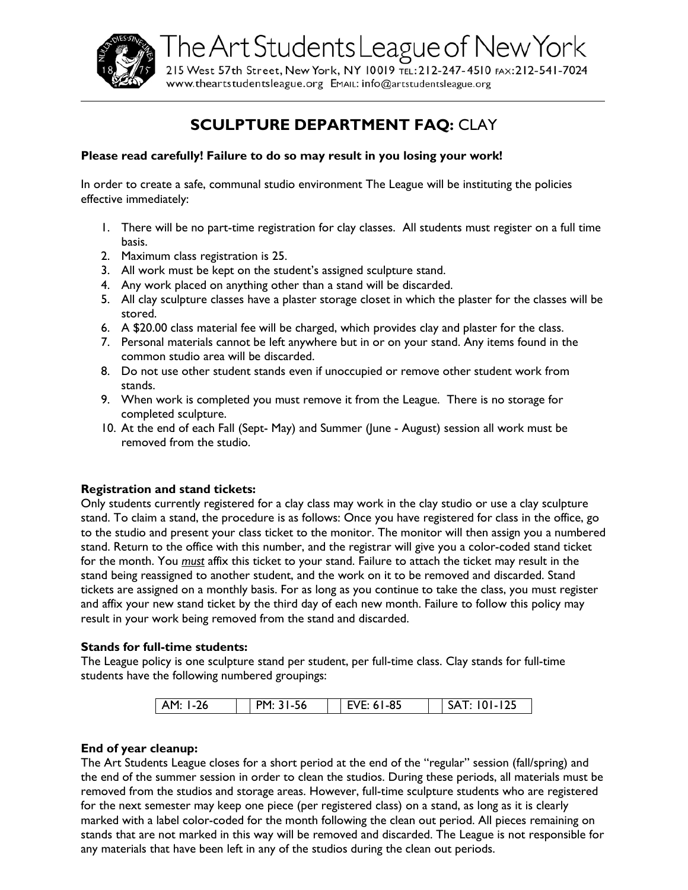

The Art Students League of New York 215 West 57th Street, New York, NY 10019 TEL: 212-247-4510 FAX: 212-541-7024

www.theartstudentsleague.org EMAIL: info@artstudentsleague.org

# **SCULPTURE DEPARTMENT FAQ:** CLAY

#### **Please read carefully! Failure to do so may result in you losing your work!**

In order to create a safe, communal studio environment The League will be instituting the policies effective immediately:

- 1. There will be no part-time registration for clay classes. All students must register on a full time basis.
- 2. Maximum class registration is 25.
- 3. All work must be kept on the student's assigned sculpture stand.
- 4. Any work placed on anything other than a stand will be discarded.
- 5. All clay sculpture classes have a plaster storage closet in which the plaster for the classes will be stored.
- 6. A \$20.00 class material fee will be charged, which provides clay and plaster for the class.
- 7. Personal materials cannot be left anywhere but in or on your stand. Any items found in the common studio area will be discarded.
- 8. Do not use other student stands even if unoccupied or remove other student work from stands.
- 9. When work is completed you must remove it from the League. There is no storage for completed sculpture.
- 10. At the end of each Fall (Sept- May) and Summer (June August) session all work must be removed from the studio.

#### **Registration and stand tickets:**

Only students currently registered for a clay class may work in the clay studio or use a clay sculpture stand. To claim a stand, the procedure is as follows: Once you have registered for class in the office, go to the studio and present your class ticket to the monitor. The monitor will then assign you a numbered stand. Return to the office with this number, and the registrar will give you a color-coded stand ticket for the month. You *must* affix this ticket to your stand. Failure to attach the ticket may result in the stand being reassigned to another student, and the work on it to be removed and discarded. Stand tickets are assigned on a monthly basis. For as long as you continue to take the class, you must register and affix your new stand ticket by the third day of each new month. Failure to follow this policy may result in your work being removed from the stand and discarded.

#### **Stands for full-time students:**

The League policy is one sculpture stand per student, per full-time class. Clay stands for full-time students have the following numbered groupings:

| $1-26$<br>AM: | PM: 31-56 | EVE: 61-85 | $101 - 125$<br>SAT: |
|---------------|-----------|------------|---------------------|

#### **End of year cleanup:**

The Art Students League closes for a short period at the end of the "regular" session (fall/spring) and the end of the summer session in order to clean the studios. During these periods, all materials must be removed from the studios and storage areas. However, full-time sculpture students who are registered for the next semester may keep one piece (per registered class) on a stand, as long as it is clearly marked with a label color-coded for the month following the clean out period. All pieces remaining on stands that are not marked in this way will be removed and discarded. The League is not responsible for any materials that have been left in any of the studios during the clean out periods.